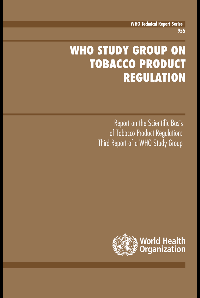# **WHO STUDY GROUP ON TOBACCO PRODUCT REGULATION**

Report on the Scientific Basis of Tobacco Product Regulation: Third Report of a WHO Study Group

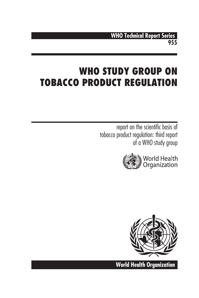# **WHO Technical Report Series 955**

# **WHO STUDY GROUP ON TOBACCO PRODUCT REGULATION**

report on the scientific basis of tobacco product regulation: third report of a WHO study group





**World Health Organization**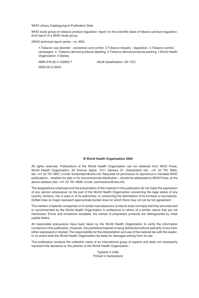WHO Library Cataloguing-in-Publication Data

WHO study group on tobacco product regulation: report on the scientific basis of tobacco product regulation: third report of a WHO study group.

(WHO technical report series ; no. 955)

1.Tobacco use disorder - prevention and control. 2.Tobacco industry - legislation. 3.Tobacco control campaigns. 4. Tobacco-derived products labelling. 5.Tobacco-derived products packing. I.World Health Organization. II.Series.

ISBN 978 92 4 120955 7 (NLM classification: QV 137)

ISSN 0512-3054

#### **© World Health Organization 2009**

All rights reserved. Publications of the World Health Organization can be obtained from WHO Press, World Health Organization, 20 Avenue Appia, 1211 Geneva 27, Switzerland (tel.: +41 22 791 3264; fax: +41 22 791 4857; e-mail: bookorders@who.int). Requests for permission to reproduce or translate WHO publications – whether for sale or for noncommercial distribution – should be addressed to WHO Press, at the above address (fax: +41 22 791 4806; e-mail: permissions@who.int).

The designations employed and the presentation of the material in this publication do not imply the expression of any opinion whatsoever on the part of the World Health Organization concerning the legal status of any country, territory, city or area or of its authorities, or concerning the delimitation of its frontiers or boundaries. Dotted lines on maps represent approximate border lines for which there may not yet be full agreement.

The mention of specific companies or of certain manufacturers' products does not imply that they are endorsed or recommended by the World Health Organization in preference to others of a similar nature that are not mentioned. Errors and omissions excepted, the names of proprietary products are distinguished by initial capital letters.

All reasonable precautions have been taken by the World Health Organization to verify the information contained in this publication. However, the published material is being distributed without warranty of any kind, either expressed or implied. The responsibility for the interpretation and use of the material lies with the reader. In no event shall the World Health Organization be liable for damages arising from its use.

This publication contains the collective views of an international group of experts and does not necessarily represent the decisions or the policies of the World Health Organization.

> Typeset in India Printed in Switzerland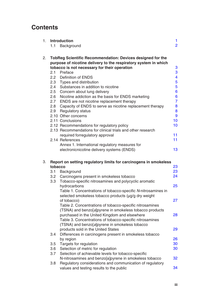# **Contents**

| 1. | 1.1     | <b>Introduction</b><br>Background                                                                                             | 1<br>$\overline{2}$     |
|----|---------|-------------------------------------------------------------------------------------------------------------------------------|-------------------------|
| 2. |         | TobReg Scientific Recommendation: Devices designed for the<br>purpose of nicotine delivery to the respiratory system in which |                         |
|    |         | tobacco is not necessary for their operation                                                                                  | 3                       |
|    | 2.1     | Preface                                                                                                                       | 3                       |
|    |         | 2.2 Definition of ENDS                                                                                                        | $\overline{\mathbf{4}}$ |
|    |         | 2.3 Types and distribution                                                                                                    | 5                       |
|    | 2.4     | Substances in addition to nicotine                                                                                            | 5                       |
|    |         | 2.5 Concern about lung delivery                                                                                               | 6                       |
|    | 2.6     | Nicotine addiction as the basis for ENDS marketing                                                                            | 6                       |
|    |         | 2.7 ENDS are not nicotine replacement therapy                                                                                 | $\overline{7}$          |
|    | 2.8     | Capacity of ENDS to serve as nicotine replacement therapy                                                                     | 8                       |
|    | 2.9     | Regulatory status                                                                                                             | 8                       |
|    |         | 2.10 Other concerns                                                                                                           | 9                       |
|    |         | 2.11 Conclusions                                                                                                              | 10                      |
|    |         | 2.12 Recommendations for regulatory policy                                                                                    | 10                      |
|    |         | 2.13 Recommendations for clinical trials and other research                                                                   |                         |
|    |         | required forregulatory approval                                                                                               | 11<br>11                |
|    |         | 2.14 References<br>Annex 1. International regulatory measures for                                                             |                         |
|    |         | electronicnicotine delivery systems (ENDS)                                                                                    | 13                      |
| З. |         | Report on setting regulatory limits for carcinogens in smokeless                                                              |                         |
|    | tobacco |                                                                                                                               | 23                      |
|    | 3.1     | Background                                                                                                                    | 23                      |
|    | 3.2     | Carcinogens present in smokeless tobacco                                                                                      | 24                      |
|    | 3.3     | Tobacco-specific nitrosamines and polycyclic aromatic                                                                         |                         |
|    |         | hydrocarbons                                                                                                                  | 25                      |
|    |         | Table 1. Concentrations of tobacco-specific N-nitrosamines in                                                                 |                         |
|    |         | selected smokeless tobacco products (µg/g dry weight                                                                          |                         |
|    |         | of tobacco)                                                                                                                   | 27                      |
|    |         | Table 2. Concentrations of tobacco-specific nitrosamines                                                                      |                         |
|    |         | (TSNA) and benzo[a]pyrene in smokeless tobacco products<br>purchased in the United Kingdom and elsewhere                      | 28                      |
|    |         | Table 3. Concentrations of tobacco-specific nitrosamines                                                                      |                         |
|    |         | (TSNA) and benzo[a]pyrene in smokeless tobacco                                                                                |                         |
|    |         | products sold in the United States                                                                                            | 29                      |
|    | 3.4     | Differences in carcinogens present in smokeless tobacco                                                                       |                         |
|    |         | by region                                                                                                                     | 26                      |
|    | 3.5     | Targets for regulation                                                                                                        | 30                      |
|    | 3.6     | Selection of metric for regulation                                                                                            | 30                      |
|    | 3.7     | Selection of achievable levels for tobacco-specific                                                                           |                         |

N-nitrosamines and benzo[a]pyrene in smokeless tobacco 3.8 Regulatory considerations and communication of regulatory values and testing results to the public [32](#page-38-0) [34](#page-40-0)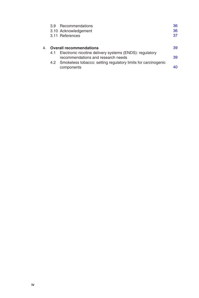|    | 3.9 Recommendations                                                                               | 36 |
|----|---------------------------------------------------------------------------------------------------|----|
|    | 3.10 Acknowledgement                                                                              | 36 |
|    | 3.11 References                                                                                   | 37 |
| 4. | <b>Overall recommendations</b>                                                                    | 39 |
|    | 4.1 Electronic nicotine delivery systems (ENDS): regulatory<br>recommendations and research needs | 39 |
|    | 4.2 Smokeless tobacco: setting regulatory limits for carcinogenic<br>components                   | 40 |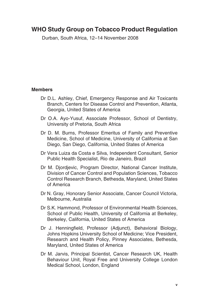# **WHO Study Group on Tobacco Product Regulation**

Durban, South Africa, 12–14 November 2008

#### **Members**

- Dr D.L. Ashley, Chief, Emergency Response and Air Toxicants Branch, Centers for Disease Control and Prevention, Atlanta, Georgia, United States of America
- Dr O.A. Ayo-Yusuf, Associate Professor, School of Dentistry, University of Pretoria, South Africa
- Dr D. M. Burns, Professor Emeritus of Family and Preventive Medicine, School of Medicine, University of California at San Diego, San Diego, California, United States of America
- Dr Vera Luiza da Costa e Silva, Independent Consultant, Senior Public Health Specialist, Rio de Janeiro, Brazil
- Dr M. Diordievic, Program Director, National Cancer Institute, Division of Cancer Control and Population Sciences, Tobacco Control Research Branch, Bethesda, Maryland, United States of America
- Dr N. Gray, Honorary Senior Associate, Cancer Council Victoria, Melbourne, Australia
- Dr S.K. Hammond, Professor of Environmental Health Sciences, School of Public Health, University of California at Berkeley, Berkeley, California, United States of America
- Dr J. Henningfield, Professor (Adjunct), Behavioral Biology, Johns Hopkins University School of Medicine; Vice President, Research and Health Policy, Pinney Associates, Bethesda, Maryland, United States of America
- Dr M. Jarvis, Principal Scientist, Cancer Research UK, Health Behaviour Unit, Royal Free and University College London Medical School, London, England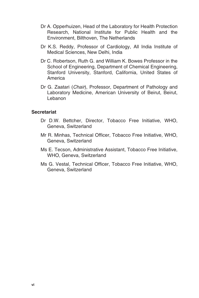- Dr A. Opperhuizen, Head of the Laboratory for Health Protection Research, National Institute for Public Health and the Environment, Bilthoven, The Netherlands
- Dr K.S. Reddy, Professor of Cardiology, All India Institute of Medical Sciences, New Delhi, India
- Dr C. Robertson, Ruth G. and William K. Bowes Professor in the School of Engineering, Department of Chemical Engineering, Stanford University, Stanford, California, United States of America
- Dr G. Zaatari (*Chair*), Professor, Department of Pathology and Laboratory Medicine, American University of Beirut, Beirut, Lebanon

#### **Secretariat**

- Dr D.W. Bettcher, Director, Tobacco Free Initiative, WHO, Geneva, Switzerland
- Mr R. Minhas, Technical Officer, Tobacco Free Initiative, WHO, Geneva, Switzerland
- Ms E. Tecson, Administrative Assistant, Tobacco Free Initiative, WHO, Geneva, Switzerland
- Ms G. Vestal, Technical Officer, Tobacco Free Initiative, WHO, Geneva, Switzerland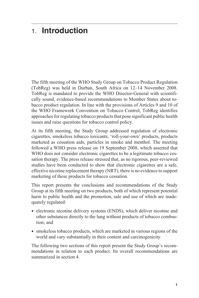# <span id="page-7-0"></span>1. **Introduction**

The fifth meeting of the WHO Study Group on Tobacco Product Regulation (TobReg) was held in Durban, South Africa on 12–14 November 2008. TobReg is mandated to provide the WHO Director-General with scientifically sound, evidence-based recommendations to Member States about tobacco product regulation. In line with the provisions of Articles 9 and 10 of the WHO Framework Convention on Tobacco Control, TobReg identifies approaches for regulating tobacco products that pose significant public health issues and raise questions for tobacco control policy.

At its fifth meeting, the Study Group addressed regulation of electronic cigarettes, smokeless tobacco toxicants, 'roll-your-own' products, products marketed as cessation aids, particles in smoke and menthol. The meeting followed a WHO press release on 19 September 2008, which asserted that WHO does not consider electronic cigarettes to be a legitimate tobacco cessation therapy. The press release stressed that, as no rigorous, peer-reviewed studies have been conducted to show that electronic cigarettes are a safe, effective nicotine replacement therapy (NRT), there is no evidence to support marketing of these products for tobacco cessation.

This report presents the conclusions and recommendations of the Study Group at its fifth meeting on two products, both of which represent potential harm to public health and the promotion, sale and use of which are inadequately regulated:

- electronic nicotine delivery systems (ENDS), which deliver nicotine and other substances directly to the lung without products of tobacco combustion; and
- smokeless tobacco products, which are marketed in various regions of the world and vary substantially in their content and carcinogenicity.

The following two sections of this report present the Study Group's recommendations in relation to each product. Its overall recommendations are summarized in section 4.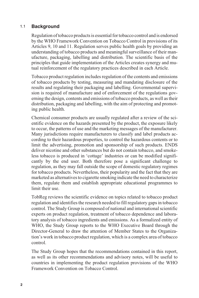#### <span id="page-8-0"></span>1.1 **Background**

Regulation of tobacco products is essential for tobacco control and is endorsed by the WHO Framework Convention on Tobacco Control in provisions of its Articles 9, 10 and 11. Regulation serves public health goals by providing an understanding of tobacco products and meaningful surveillance of their manufacture, packaging, labelling and distribution. The scientific basis of the principles that guide implementation of the Articles creates synergy and mutual reinforcement of the regulatory practices described in each Article.

Tobacco product regulation includes regulation of the contents and emissions of tobacco products by testing, measuring and mandating disclosure of the results and regulating their packaging and labelling. Governmental supervision is required of manufacture and of enforcement of the regulations governing the design, contents and emissions of tobacco products, as well as their distribution, packaging and labelling, with the aim of protecting and promoting public health.

Chemical consumer products are usually regulated after a review of the scientific evidence on the hazards presented by the product, the exposure likely to occur, the patterns of use and the marketing messages of the manufacturer. Many jurisdictions require manufacturers to classify and label products according to their hazardous properties, to control the hazardous contents or to limit the advertising, promotion and sponsorship of such products. ENDS deliver nicotine and other substances but do not contain tobacco, and smokeless tobacco is produced in 'cottage' industries or can be modified significantly by the end user. Both therefore pose a significant challenge to regulation, as they may fall outside the scope of domestic regulatory regimes for tobacco products. Nevertheless, their popularity and the fact that they are marketed as alternatives to cigarette smoking indicate the need to characterize them, regulate them and establish appropriate educational programmes to limit their use.

TobReg reviews the scientific evidence on topics related to tobacco product regulation and identifies the research needed to fill regulatory gaps in tobacco control. The Study Group is composed of national and international scientific experts on product regulation, treatment of tobacco dependence and laboratory analysis of tobacco ingredients and emissions. As a formalized entity of WHO, the Study Group reports to the WHO Executive Board through the Director-General to draw the attention of Member States to the Organization's work in tobacco product regulation, which is a complex area of tobacco control.

The Study Group hopes that the recommendations contained in this report, as well as its other recommendations and advisory notes, will be useful to countries in implementing the product regulation provisions of the WHO Framework Convention on Tobacco Control.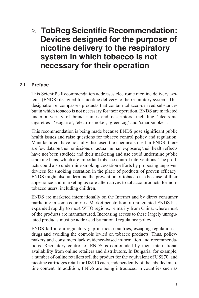# <span id="page-9-0"></span>2. **TobReg Scientific Recommendation: Devices designed for the purpose of nicotine delivery to the respiratory system in which tobacco is not necessary for their operation**

#### 2.1 **Preface**

This Scientific Recommendation addresses electronic nicotine delivery systems (ENDS) designed for nicotine delivery to the respiratory system. This designation encompasses products that contain tobacco-derived substances but in which tobacco is not necessary for their operation. ENDS are marketed under a variety of brand names and descriptors, including 'electronic cigarettes', 'ecigarro', 'electro-smoke', 'green cig' and 'smartsmoker'.

This recommendation is being made because ENDS pose significant public health issues and raise questions for tobacco control policy and regulation. Manufacturers have not fully disclosed the chemicals used in ENDS; there are few data on their emissions or actual human exposure; their health effects have not been studied; and their marketing and use could undermine public smoking bans, which are important tobacco control interventions. The products could also undermine smoking cessation efforts by proposing unproven devices for smoking cessation in the place of products of proven efficacy. ENDS might also undermine the prevention of tobacco use because of their appearance and marketing as safe alternatives to tobacco products for nontobacco users, including children.

ENDS are marketed internationally on the Internet and by direct consumer marketing in some countries. Market penetration of unregulated ENDS has expanded rapidly to most WHO regions, primarily from China, where most of the products are manufactured. Increasing access to these largely unregulated products must be addressed by rational regulatory policy.

ENDS fall into a regulatory gap in most countries, escaping regulation as drugs and avoiding the controls levied on tobacco products. Thus, policymakers and consumers lack evidence-based information and recommendations. Regulatory control of ENDS is confounded by their international availability from online retailers and distributors. In Bulgaria, for example, a number of online retailers sell the product for the equivalent of US\$70, and nicotine cartridges retail for US\$10 each, independently of the labelled nicotine content. In addition, ENDS are being introduced in countries such as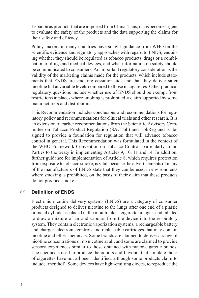<span id="page-10-0"></span>Lebanon as products that are imported from China. Thus, it has become urgent to evaluate the safety of the products and the data supporting the claims for their safety and efficacy.

Policy-makers in many countries have sought guidance from WHO on the scientific evidence and regulatory approaches with regard to ENDS, enquiring whether they should be regulated as tobacco products, drugs or a combination of drugs and medical devices, and what information on safety should be communicated to consumers. An important regulatory consideration is the validity of the marketing claims made for the products, which include statements that ENDS are smoking cessation aids and that they deliver safer nicotine but at variable levels compared to those in cigarettes. Other practical regulatory questions include whether use of ENDS should be exempt from restrictions in places where smoking is prohibited, a claim supported by some manufacturers and distributors.

This Recommendation includes conclusions and recommendations for regulatory policy and recommendations for clinical trials and other research. It is an extension of earlier recommendations from the Scientific Advisory Committee on Tobacco Product Regulation (SACTob) and TobReg and is designed to provide a foundation for regulation that will advance tobacco control in general. This Recommendation was formulated in the context of the WHO Framework Convention on Tobacco Control, particularly to aid Parties to the treaty in implementing Articles 9, 10, 11 and 14. In addition, further guidance for implementation of Article 8, which requires protection from exposure to tobacco smoke, is vital, because the advertisements of many of the manufacturers of ENDS state that they can be used in environments where smoking is prohibited, on the basis of their claim that these products do not produce smoke.

### 2.2 **Definition of ENDS**

Electronic nicotine delivery systems (ENDS) are a category of consumer products designed to deliver nicotine to the lungs after one end of a plastic or metal cylinder is placed in the mouth, like a cigarette or cigar, and inhaled to draw a mixture of air and vapours from the device into the respiratory system. They contain electronic vaporization systems, a rechargeable battery and charger, electronic controls and replaceable cartridges that may contain nicotine and other chemicals. Some brands are claimed to deliver a range of nicotine concentrations or no nicotine at all, and some are claimed to provide sensory experiences similar to those obtained with major cigarette brands. The chemicals used to produce the odours and flavours that simulate those of cigarettes have not all been identified, although some products claim to include 'menthol'. Some devices have light-emitting diodes, to reproduce the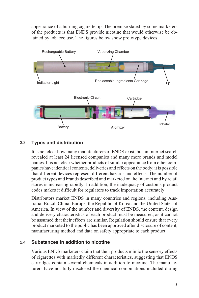<span id="page-11-0"></span>appearance of a burning cigarette tip. The premise stated by some marketers of the products is that ENDS provide nicotine that would otherwise be obtained by tobacco use. The figures below show prototype devices.



# 2.3 **Types and distribution**

It is not clear how many manufacturers of ENDS exist, but an Internet search revealed at least 24 licensed companies and many more brands and model names. It is not clear whether products of similar appearance from other companies have identical contents, deliveries and effects on the body; it is possible that different devices represent different hazards and effects. The number of product types and brands described and marketed on the Internet and by retail stores is increasing rapidly. In addition, the inadequacy of customs product codes makes it difficult for regulators to track importation accurately.

Distributors market ENDS in many countries and regions, including Australia, Brazil, China, Europe, the Republic of Korea and the United States of America. In view of the number and diversity of ENDS, the content, design and delivery characteristics of each product must be measured, as it cannot be assumed that their effects are similar. Regulation should ensure that every product marketed to the public has been approved after disclosure of content, manufacturing method and data on safety appropriate to each product.

### 2.4 **Substances in addition to nicotine**

Various ENDS marketers claim that their products mimic the sensory effects of cigarettes with markedly different characteristics, suggesting that ENDS cartridges contain several chemicals in addition to nicotine. The manufacturers have not fully disclosed the chemical combinations included during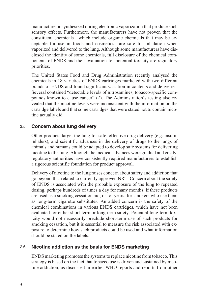<span id="page-12-0"></span>manufacture or synthesized during electronic vaporization that produce such sensory effects. Furthermore, the manufacturers have not proven that the constituent chemicals—which include organic chemicals that may be acceptable for use in foods and cosmetics—are safe for inhalation when vaporized and delivered to the lung. Although some manufacturers have disclosed the identity of some chemicals, full disclosure of the chemical components of ENDS and their evaluation for potential toxicity are regulatory priorities.

The United States Food and Drug Administration recently analysed the chemicals in 18 varieties of ENDS cartridges marketed with two different brands of ENDS and found significant variation in contents and deliveries. Several contained "detectable levels of nitrosamines, tobacco-specific compounds known to cause cancer" (*1*). The Administration's testing also revealed that the nicotine levels were inconsistent with the information on the cartridge labels and that some cartridges that were stated not to contain nicotine actually did.

### 2.5 **Concern about lung delivery**

Other products target the lung for safe, effective drug delivery (e.g. insulin inhalers), and scientific advances in the delivery of drugs to the lungs of animals and humans could be adapted to develop safe systems for delivering nicotine to the lung. Although the medical advances were gradual and costly, regulatory authorities have consistently required manufacturers to establish a rigorous scientific foundation for product approval.

Delivery of nicotine to the lung raises concern about safety and addiction that go beyond that related to currently approved NRT. Concern about the safety of ENDS is associated with the probable exposure of the lung to repeated dosing, perhaps hundreds of times a day for many months, if these products are used as a smoking cessation aid, or for years, for smokers who use them as long-term cigarette substitutes. An added concern is the safety of the chemical combinations in various ENDS cartridges, which have not been evaluated for either short-term or long-term safety. Potential long-term toxicity would not necessarily preclude short-term use of such products for smoking cessation, but it is essential to measure the risk associated with exposure to determine how such products could be used and what information should be stated on the labels.

#### 2.6 **Nicotine addiction as the basis for ENDS marketing**

ENDS marketing promotes the systems to replace nicotine from tobacco. This strategy is based on the fact that tobacco use is driven and sustained by nicotine addiction, as discussed in earlier WHO reports and reports from other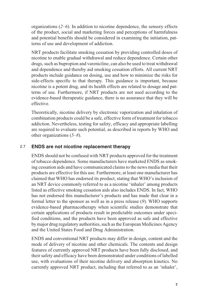<span id="page-13-0"></span>organizations (*2–6*). In addition to nicotine dependence, the sensory effects of the product, social and marketing forces and perceptions of harmfulness and potential benefits should be considered in examining the initiation, patterns of use and development of addiction.

NRT products facilitate smoking cessation by providing controlled doses of nicotine to enable gradual withdrawal and reduce dependence. Certain other drugs, such as bupropion and varenicline, can also be used to treat withdrawal and dependence and thereby aid smoking cessation efforts. All current NRT products include guidance on dosing, use and how to minimize the risks for side-effects specific to that therapy. This guidance is important, because nicotine is a potent drug, and its health effects are related to dosage and patterns of use. Furthermore, if NRT products are not used according to the evidence-based therapeutic guidance, there is no assurance that they will be effective.

Theoretically, nicotine delivery by electronic vaporization and inhalation of combination products could be a safe, effective form of treatment for tobacco addiction. Nevertheless, testing for safety, efficacy and appropriate labelling are required to evaluate such potential, as described in reports by WHO and other organizations (*5–8*).

### 2.7 **ENDS are not nicotine replacement therapy**

ENDS should not be confused with NRT products approved for the treatment of tobacco dependence. Some manufacturers have marketed ENDS as smoking cessation aids and have communicated claims to the news media that their products are effective for this use. Furthermore, at least one manufacturer has claimed that WHO has endorsed its product, stating that WHO's inclusion of an NRT device commonly referred to as a nicotine 'inhaler' among products listed as effective smoking cessation aids also includes ENDS. In fact, WHO has not endorsed this manufacturer's products and has made that clear in a formal letter to the sponsor as well as in a press release (*9*). WHO supports evidence-based pharmacotherapy when scientific studies demonstrate that certain applications of products result in predictable outcomes under specified conditions, and the products have been approved as safe and effective by major drug regulatory authorities, such as the European Medicines Agency and the United States Food and Drug Administration.

ENDS and conventional NRT products may differ in design, content and the mode of delivery of nicotine and other chemicals. The contents and design features of currently approved NRT products have been fully disclosed, and their safety and efficacy have been demonstrated under conditions of labelled use, with evaluations of their nicotine delivery and absorption kinetics. No currently approved NRT product, including that referred to as an 'inhaler',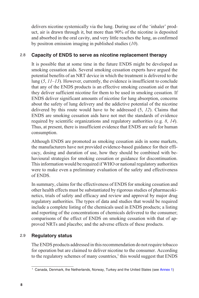<span id="page-14-0"></span>delivers nicotine systemically via the lung. During use of the 'inhaler' product, air is drawn through it, but more than 90% of the nicotine is deposited and absorbed in the oral cavity, and very little reaches the lung, as confirmed by positron emission imaging in published studies (*10*).

# 2.8 **Capacity of ENDS to serve as nicotine replacement therapy**

It is possible that at some time in the future ENDS might be developed as smoking cessation aids. Several smoking cessation experts have argued the potential benefits of an NRT device in which the treatment is delivered to the lung (*5*, *11–13*). However, currently, the evidence is insufficient to conclude that any of the ENDS products is an effective smoking cessation aid or that they deliver sufficient nicotine for them to be used in smoking cessation. If ENDS deliver significant amounts of nicotine for lung absorption, concerns about the safety of lung delivery and the addictive potential of the nicotine delivered by this route would have to be addressed (5, *12*). Claims that ENDS are smoking cessation aids have not met the standards of evidence required by scientific organizations and regulatory authorities (e.g. *8*, *14*). Thus, at present, there is insufficient evidence that ENDS are safe for human consumption.

Although ENDS are promoted as smoking cessation aids in some markets, the manufacturers have not provided evidence-based guidance for their efficacy, dosing and duration of use, how they should be combined with behavioural strategies for smoking cessation or guidance for discontinuation. This information would be required if WHO or national regulatory authorities were to make even a preliminary evaluation of the safety and effectiveness of ENDS.

In summary, claims for the effectiveness of ENDS for smoking cessation and other health effects must be substantiated by rigorous studies of pharmacokinetics, trials of safety and efficacy and review and approval by major drug regulatory authorities. The types of data and studies that would be required include a complete listing of the chemicals used in ENDS products; a listing and reporting of the concentrations of chemicals delivered to the consumer; comparisons of the effect of ENDS on smoking cessation with that of approved NRTs and placebo; and the adverse effects of these products.

# 2.9 **Regulatory status**

The ENDS products addressed in this recommendation do not require tobacco for operation but are claimed to deliver nicotine to the consumer. According to the regulatory schemes of many countries,<sup>1</sup> this would suggest that ENDS

<sup>&</sup>lt;sup>1</sup> Canada, Denmark, the Netherlands, Norway, Turkey and the United States (see [Annex 1](#page-19-0))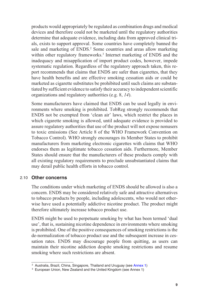<span id="page-15-0"></span>products would appropriately be regulated as combination drugs and medical devices and therefore could not be marketed until the regulatory authorities determine that adequate evidence, including data from approved clinical trials, exists to support approval. Some countries have completely banned the sale and marketing of ENDS.<sup>2</sup> Some countries and areas allow marketing within other regulatory frameworks.<sup>3</sup> Internet marketing of ENDS and the inadequacy and misapplication of import product codes, however, impede systematic regulation. Regardless of the regulatory approach taken, this report recommends that claims that ENDS are safer than cigarettes, that they have health benefits and are effective smoking cessation aids or could be marketed as cigarette substitutes be prohibited until such claims are substantiated by sufficient evidence to satisfy their accuracy to independent scientific organizations and regulatory authorities (e.g. 8, *14*).

Some manufacturers have claimed that ENDS can be used legally in environments where smoking is prohibited. TobReg strongly recommends that ENDS not be exempted from 'clean air' laws, which restrict the places in which cigarette smoking is allowed, until adequate evidence is provided to assure regulatory authorities that use of the product will not expose nonusers to toxic emissions (See Article 8 of the WHO Framework Convention on Tobacco Control). WHO strongly encourages its Member States to prohibit manufacturers from marketing electronic cigarettes with claims that WHO endorses them as legitimate tobacco cessation aids. Furthermore, Member States should ensure that the manufacturers of these products comply with all existing regulatory requirements to preclude unsubstantiated claims that may derail public health efforts in tobacco control.

#### 2.10 **Other concerns**

The conditions under which marketing of ENDS should be allowed is also a concern. ENDS may be considered relatively safe and attractive alternatives to tobacco products by people, including adolescents, who would not otherwise have used a potentially addictive nicotine product. The product might therefore ultimately increase tobacco product use.

ENDS might be used to perpetuate smoking by what has been termed 'dual use', that is, sustaining nicotine dependence in environments where smoking is prohibited. One of the positive consequences of smoking restrictions is the de-normalization of tobacco product use and the subsequent increase in cessation rates. ENDS may discourage people from quitting, as users can maintain their nicotine addiction despite smoking restrictions and resume smoking where such restrictions are absent.

<sup>&</sup>lt;sup>2</sup> Australia, Brazil, China, Singapore, Thailand and Uruguay (see [Annex 1](#page-19-0))

<sup>3</sup> European Union, New Zealand and the United Kingdom (see Annex 1)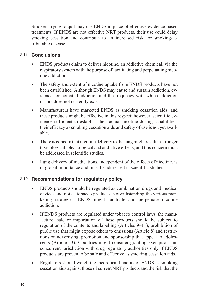<span id="page-16-0"></span>Smokers trying to quit may use ENDS in place of effective evidence-based treatments. If ENDS are not effective NRT products, their use could delay smoking cessation and contribute to an increased risk for smoking-attributable disease.

#### 2.11 **Conclusions**

- ENDS products claim to deliver nicotine, an addictive chemical, via the respiratory system with the purpose of facilitating and perpetuating nicotine addiction.
- The safety and extent of nicotine uptake from ENDS products have not been established. Although ENDS may cause and sustain addiction, evidence for potential addiction and the frequency with which addiction occurs does not currently exist.
- Manufacturers have marketed ENDS as smoking cessation aids, and these products might be effective in this respect; however, scientific evidence sufficient to establish their actual nicotine dosing capabilities, their efficacy as smoking cessation aids and safety of use is not yet available.
- There is concern that nicotine delivery to the lung might result in stronger toxicological, physiological and addictive effects, and this concern must be addressed in scientific studies.
- Lung delivery of medications, independent of the effects of nicotine, is of global importance and must be addressed in scientific studies.

### 2.12 **Recommendations for regulatory policy**

- ENDS products should be regulated as combination drugs and medical devices and not as tobacco products. Notwithstanding the various marketing strategies, ENDS might facilitate and perpetuate nicotine addiction.
- If ENDS products are regulated under tobacco control laws, the manufacture, sale or importation of these products should be subject to regulation of the contents and labelling (Articles 9–11), prohibition of public use that might expose others to emissions (Article 8) and restrictions on advertising, promotion and sponsorship that appeal to adolescents (Article 13). Countries might consider granting exemption and concurrent jurisdiction with drug regulatory authorities only if ENDS products are proven to be safe and effective as smoking cessation aids.
- Regulators should weigh the theoretical benefits of ENDS as smoking cessation aids against those of current NRT products and the risk that the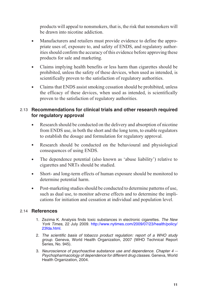<span id="page-17-0"></span>products will appeal to nonsmokers, that is, the risk that nonsmokers will be drawn into nicotine addiction.

- Manufacturers and retailers must provide evidence to define the appropriate uses of, exposure to, and safety of ENDS, and regulatory authorities should confirm the accuracy of this evidence before approving these products for sale and marketing.
- Claims implying health benefits or less harm than cigarettes should be prohibited, unless the safety of these devices, when used as intended, is scientifically proven to the satisfaction of regulatory authorities.
- Claims that ENDS assist smoking cessation should be prohibited, unless the efficacy of these devices, when used as intended, is scientifically proven to the satisfaction of regulatory authorities.

## 2.13 **Recommendations for clinical trials and other research required for regulatory approval**

- Research should be conducted on the delivery and absorption of nicotine from ENDS use, in both the short and the long term, to enable regulators to establish the dosage and formulation for regulatory approval.
- Research should be conducted on the behavioural and physiological consequences of using ENDS.
- The dependence potential (also known as 'abuse liability') relative to cigarettes and NRTs should be studied.
- Short- and long-term effects of human exposure should be monitored to determine potential harm.
- Post-marketing studies should be conducted to determine patterns of use, such as dual use, to monitor adverse effects and to determine the implications for initiation and cessation at individual and population level.

### 2.14 **References**

- 1. Zezima K. Analysis finds toxic substances in electronic cigarettes. *The New York Times*, 22 July 2009. [http://www.nytimes.com/2009/07/23/health/policy/](http://www.nytimes.com) [23fda.html.](http://www.nytimes.com)
- 2. *The scientific basis of tobacco product regulation: report of a WHO study group*. Geneva, World Health Organization, 2007 (WHO Technical Report Series, No. 945).
- 3. *Neuroscience of psychoactive substance use and dependence. Chapter 4 -- Psychopharmacology of dependence for different drug classes.* Geneva, World Health Organization, 2004.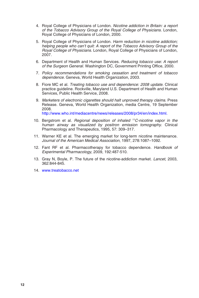- 4. Royal College of Physicians of London. *Nicotine addiction in Britain: a report of the Tobacco Advisory Group of the Royal College of Physicians.* London, Royal College of Physicians of London, 2000.
- 5. Royal College of Physicians of London. *Harm reduction in nicotine addiction; helping people who can't quit: A report of the Tobacco Advisory Group of the Royal College of Physicians.* London, Royal College of Physicians of London, 2007.
- 6. Department of Health and Human Services. *Reducing tobacco use: A report of the Surgeon General.* Washington DC, Government Printing Office, 2000.
- 7. *Policy recommendations for smoking cessation and treatment of tobacco dependence*. Geneva, World Health Organization, 2003.
- 8. Fiore MC et al. *Treating tobacco use and dependence: 2008 update.* Clinical practice guideline. Rockville, Maryland U.S. Department of Health and Human Services, Public Health Service, 2008.
- 9. *Marketers of electronic cigarettes should halt unproved therapy claims*. Press Release. Geneva, World Health Organization, media Centre, 19 September 2008. [http://www.who.int/mediacentre/news/releases/2008/pr34/en/index.html.](http://www.who.int)
- 10. Bergstrom et al. *Regional deposition of inhaled 11C-nicotine vapor in the human airway as visualized by positron emission tomography.* Clinical Pharmacology and Therapeutics, 1995, 57: 309–317.
- 11. Warner KE et al. The emerging market for long-term nicotine maintenance. *Journal of the American Medical Association*, 1997, 278:1087–1092.
- 12. Fant RF et al. Pharmacotherapy for tobacco dependence. *Handbook of Experimental Pharmacology*, 2009, 192:487-510.
- 13. Gray N, Boyle, P. The future of the nicotine-addiction market. *Lancet*, 2003, 362:844-845.
- 14. [www.treatobacco.net](http://www.treatobacco.net)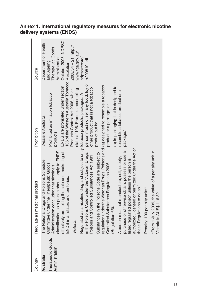# <span id="page-19-0"></span>**Annex 1. International regulatory measures for electronic nicotine delivery systems (ENDS)**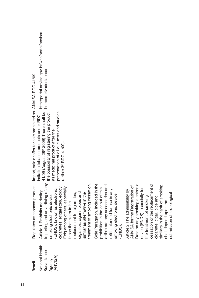| <b>Brazil</b>   |                                  | Regulates as tobacco product Import, sale or offer for sale prohibited as ANVIS                                                    |          |
|-----------------|----------------------------------|------------------------------------------------------------------------------------------------------------------------------------|----------|
| National Health | Article 1 Prohibits marketing,   | imitation tobacco products under RDC                                                                                               | http://p |
| Surveillance    |                                  | 41/09 (August 28 <sup>th</sup> 2009) There shall be<br>importing and advertising of any the possibility of registering the product | home/    |
| Agency          |                                  |                                                                                                                                    |          |
| (ANVISA)        | (ENDS), known as electronic      | as medicinal product after the                                                                                                     |          |
|                 | cigarettes, ecigarettes, eciggy, | presentation of all due tests and studies                                                                                          |          |
|                 | Ecig among others, especially    | article 3 <sup>rd</sup> RDC 41/09).                                                                                                |          |
|                 | those that claim to be           |                                                                                                                                    |          |
|                 | replacement for cigarettes,      |                                                                                                                                    |          |
|                 | cigarillos, cigars, pipes and    |                                                                                                                                    |          |
|                 | similar as alternative in the    |                                                                                                                                    |          |

treatment of smoking cessation. Sole Paragraph. Included in the prohibition in the caput of this article are any accessories and refills intended for use in any smoking electronic device

Sole Paragraph. Included in the treatment of smoking cessation.

article are any accessories and

refills intended for use in any

smoking electronic device

prohibition in the caput of this

(ENDS).

Article 2 The admissibility by ANVISA for the Registration of Data on any smoking electronic device (ENDS), especially for the treatment of smoking cessation or the replacement of cigarette, cigar, pipe and similars in the habit of smoking,

Article 2 The admissibility by

ANVISA for the Registration of

Data on any smoking electronic

device (ENDS), especially for

the treatment of smoking

cessation or the replacement of

shall depend upon the submission of toxicological

shall depend upon the

submission of toxicological

similars in the habit of smoking,

cigarette, cigar, pipe and

ortal.anvisa.gov.br/wps/portal/anvisa/ http://portal.anvisa.gov.br/wps/portal/anvisa/ derivadostabaco home/derivadostabaco Requiates as tobacco product Import, sale or offer for sale prohibited as ANVISA RDC 41/09 ANVISA RDC 41/09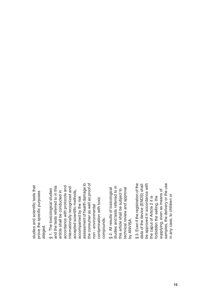studies and scientific tests that studies and scientific tests that prove the specific purposes prove the specific purposes alleged.

assessment of health damage to assessment of health damage to the consumer as well as proof of the consumer as well as proof of and the tests referred to in this accordance with protocols and and the tests referred to in this accordance with protocols and internationally recognized and internationally recognized and §1. The toxicological studies § 1. The toxicological studies article shall be conducted in accepted scientific methods, accepted scientific methods, article shall be conducted in accompanied by the risk contamination with toxic accompanied by the risk contamination with toxic non-environmental non - environmental compounds. compounds.

studies and tests referred to in § 2. All results of toxicological studies and tests referred to in echnical review and approval this article shall be subject to technical review and approval § 2. All results of toxicological this article shall be subject to by ANVISA. by ANVISA. § 3. Even if the registration of the samples, the delivery or the use § 3. Even if the registration of the be approved in accordance with samples, the delivery or the use data of the device (ENDS) shall be approved in accordance with data of the device (ENDS) shall supplying, even as means of supplying, even as means of in any case, to children or in any case, to children or the caput of Article 2 it is orbidden the selling, the the caput of Article 2 it is forbidden the selling, the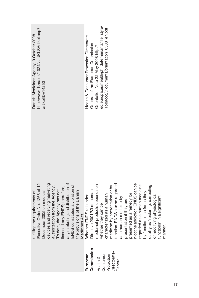| any marketing and distribution of<br>devices and receiving marketing<br>Executive Order No. 1268 of 12<br>ENDS constitutes a violation of<br>icensed any ENDS; therefore,<br>authorization from the Agency.<br>To date, the Agency has not<br>fulfilling the requirements of<br>the provisions of the Danish<br>December 2005 on medical<br>Medicines Act. | nicotine addiction. ENDS can be<br>function. ENDS can be regarded<br>regarded as a human medicine<br>medicinal products depends on<br>qualify as "restoring, correcting<br>medicine by presentation or by<br>Directive 2001/83 on human<br>by function in so far as they<br>presented as a remedy for<br>characterized as a human<br>or modifying physiological<br>Whether ENDS fall under<br>functions" in a significant<br>as a human medicine by<br>presentation if they are<br>whether they can be | manner. |
|------------------------------------------------------------------------------------------------------------------------------------------------------------------------------------------------------------------------------------------------------------------------------------------------------------------------------------------------------------|--------------------------------------------------------------------------------------------------------------------------------------------------------------------------------------------------------------------------------------------------------------------------------------------------------------------------------------------------------------------------------------------------------------------------------------------------------------------------------------------------------|---------|
|                                                                                                                                                                                                                                                                                                                                                            | Commission<br>Directorate-<br>Consumer<br>European<br>Protection<br>Health &<br>General                                                                                                                                                                                                                                                                                                                                                                                                                |         |

http://www.dkma.dk/1024/visUKLSArtikel.asp?<br>artikelID=14250 http://www.dkma.dk/1024/visUKLSArtikel.asp? Danish Medicines Agency, 9 October 2008 Danish Medicines Agency, 9 October 2008 artikelID=14250

ec.europa.eu/health/ph\_determinants/life\_style/ ec.europa.eu/health/ph\_determinants/life\_style/ Tobacco/D ocuments/orientation\_0508\_en.pdf Tobacco/D ocuments/orientation\_0508\_en.pdf Health & Consumer Protection Directorate-Health & Consumer Protection Directorate-General of the European Commission<br>Orientation Note 22 May 2008 http:// General of the European Commission Orientation Note 22 May 2008 http://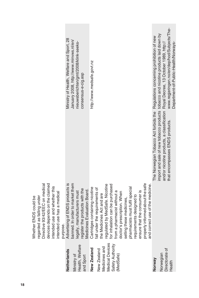|                                                                                                                                                                                                   | Ministry of Health, Welfare and Sport, 28<br>January 2008, http://www.minvws.nl/en/<br>nieuwsberichten/gmt/2008/klink-seeks-<br>consensus-e-cig.asp                | http://www.medsafe.govt.nz                                                                                                                                                                                                                                                                                                                                                                                                           | www.regjeringen.no/en/dep/hod/Subjects/The-<br>import and sale of new tobacco products tobacco and nicotine products laid down by<br>Regulations concerning prohibition of new<br>Department-of-Public-Health/Norways- |
|---------------------------------------------------------------------------------------------------------------------------------------------------------------------------------------------------|--------------------------------------------------------------------------------------------------------------------------------------------------------------------|--------------------------------------------------------------------------------------------------------------------------------------------------------------------------------------------------------------------------------------------------------------------------------------------------------------------------------------------------------------------------------------------------------------------------------------|------------------------------------------------------------------------------------------------------------------------------------------------------------------------------------------------------------------------|
|                                                                                                                                                                                                   |                                                                                                                                                                    |                                                                                                                                                                                                                                                                                                                                                                                                                                      | and/or nicotine products, a classification Royal Decree, 13 October 1989, http://<br>The Norwegian Tobacco Act forbids the<br>that encompasses ENDS products.                                                          |
| Directive 93/42/EEC on medical<br>devices depends on the claimed<br>intended use and whether this<br>intended use has a medical<br>regarded as falling under<br>Whether ENDS could be<br>purpose. | banned. In order to market them<br>Advertising of ENDS products is<br>register the products with the<br>Medicines Evaluation Board.<br>legally, manufacturers must | properly informed about the safe<br>regulated by MedSafe. Nicotine<br>for inhalation can be purchased<br>use of the medicine<br>pharmacists must fulfil special<br>Cartridges containing nicotine<br>fall under the requirements of<br>the Medicines Act and are<br>ensure that the consumer is<br>from a pharmacist without a<br>doctor's prescription. When<br>requirements designed to<br>selling these medicines,<br>and correct |                                                                                                                                                                                                                        |
|                                                                                                                                                                                                   | Health, Welfare<br>Netherlands<br>Viinistry of<br>and Sport                                                                                                        | Medical Devices<br>Safety Authority<br>Medicines and<br>New Zealand<br>New Zealand<br>(MedSafe)                                                                                                                                                                                                                                                                                                                                      | Directorate of<br>Norwegian<br>Norway<br>Health                                                                                                                                                                        |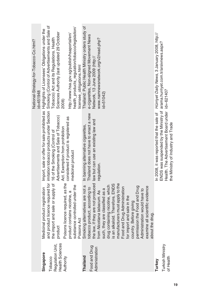| National-Strategy-for-Tobacco-Co.html?<br>$id = 451948$ | and product licence required for imitation tobacco products under Section Smoking (Control of Advertisements and Sale of<br>the import and sale or supply of 16 of the Smoking (Control of Tobacco) Act and its Regulations. Heal<br>health_products_regulation/tobacco/legislation/<br>Highlights of Licensees' Obligations under the<br>Sciences Authority (last updated 29 October<br>http://www.hsa.gov.sg/publish/hsaportal/en/<br>2008)<br>Import, sale or offer for sale prohibited as<br>Advertisements and Sale of Tobacco)<br>considered if product is registered as<br>Act. Exemption from prohibition<br>medicinal product | licensee_obligations.html | Thailand: Public Health Ministry orders study of<br>e-cigarettes, Non-aligned Movement News<br>www.namnewsnetwork.org/v2/read.php?<br>Network, 13 June 2009 (http://<br>$id = 51042$<br>Thailand does not have to enact a new<br>tobacco product, according to Thailand does not have to enact a n<br>the law, if they are not produced law but can use an existing law and<br>In banning alternative cigarettes,<br>regulation. | In 2008, it was reported that the sale of Hürriyet Daily News, 3 January 2008, http://<br>ENDS was suspended by the Ministry of arama.hurriyet.com.tr/arsivnews.aspx?<br>Health. The Advertisement Board under id=-621407 |
|---------------------------------------------------------|----------------------------------------------------------------------------------------------------------------------------------------------------------------------------------------------------------------------------------------------------------------------------------------------------------------------------------------------------------------------------------------------------------------------------------------------------------------------------------------------------------------------------------------------------------------------------------------------------------------------------------------|---------------------------|----------------------------------------------------------------------------------------------------------------------------------------------------------------------------------------------------------------------------------------------------------------------------------------------------------------------------------------------------------------------------------------------------------------------------------|---------------------------------------------------------------------------------------------------------------------------------------------------------------------------------------------------------------------------|
|                                                         | and sale or supply of<br>Poisons licence required, as the<br>substance controlled under the<br>product registration<br>product contains nicotine, a<br>Medicinal<br>product                                                                                                                                                                                                                                                                                                                                                                                                                                                            | Poisons Act               | is an alkaloid. Therefore, ENDS<br>manufacturers must apply to the<br>such, they are classified as a<br>drug containing nicotine, which<br>Smoking alternatives are not a<br>permission the Food and Drug<br>Administration would have to<br>examine all scientific evidence<br>Food and Drug Administration<br>from Nicotiana tabacum. As<br>for import and sale in the<br>country. Before giving<br>drug.<br>about the         |                                                                                                                                                                                                                           |
|                                                         | Health Sciences<br>Regulation Unit,<br>Singapore<br>Tobacco<br>Authority                                                                                                                                                                                                                                                                                                                                                                                                                                                                                                                                                               |                           | Food and Drug<br>Administration<br>Thailand                                                                                                                                                                                                                                                                                                                                                                                      | Turkish Ministry<br>of Health<br>Turkey                                                                                                                                                                                   |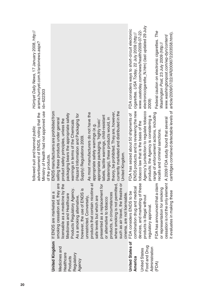|                                                                 |                                                                                                                                                                                                                                                                                                                                                                                                                                                                                                                                                 | Ministry of Health had not approved use<br>advertisement of ENDS, noting that the<br>followed suit and banned public<br>of the products.                                                                                                                                                                                                                                                                                                                                                                                                                                                                | Hürriyet Daily News, 17 January 2008, http://<br>arama.hurriyet.com.tr/arsivnews.aspx?<br>$id = -622303$ |
|-----------------------------------------------------------------|-------------------------------------------------------------------------------------------------------------------------------------------------------------------------------------------------------------------------------------------------------------------------------------------------------------------------------------------------------------------------------------------------------------------------------------------------------------------------------------------------------------------------------------------------|---------------------------------------------------------------------------------------------------------------------------------------------------------------------------------------------------------------------------------------------------------------------------------------------------------------------------------------------------------------------------------------------------------------------------------------------------------------------------------------------------------------------------------------------------------------------------------------------------------|----------------------------------------------------------------------------------------------------------|
| Medicines and<br>Healthcare<br>Regulatory<br>Products<br>Agency | products that contain nicotine at<br>where smoking is not permitted,<br>smoking cessation aid, they are<br>such as air travel, the theatre or<br>as a medicine by the<br>presented as a replacement for<br>Regulatory Agency.<br>however, the use of ENDS is<br>United Kingdom If ENDS are marketed as a<br>products, in circumstances<br>cinema, are not licensable.<br>Medicines and Healthcare<br>unrestricted. Conversely,<br>As a smoking alternative,<br>safe levels but which are<br>or alternative to tobacco<br>licensable<br>Products | theory, be prohibited. They are, however,<br>ENDS manufacturers are prohibited from<br>currently marketed and distributed in the<br>As most manufacturers do not have the<br>packaging bears the appropriate safety<br>(Hazard Information and Packaging for<br>labels, tactile warnings, child-resistant<br>fastenings), these products would, in<br>selling these products under general<br>product safety principles, unless the<br>appropriate packaging, 'highly toxic'<br>warnings in terms of the Chemicals<br>appropriate safety warnings (e.g.<br>Supply) Regulations 2009.<br>United Kingdom. |                                                                                                          |
| United States of                                                | FDA considers ENDS to be                                                                                                                                                                                                                                                                                                                                                                                                                                                                                                                        | FDA has seized about 50 shipments of                                                                                                                                                                                                                                                                                                                                                                                                                                                                                                                                                                    | FDA considers ways to short-circuit electronic                                                           |
| America                                                         | combination drug and medical                                                                                                                                                                                                                                                                                                                                                                                                                                                                                                                    |                                                                                                                                                                                                                                                                                                                                                                                                                                                                                                                                                                                                         | ENDS products and is reviewing the new cigarettes. USA Today, 22 July 2009 (http://                      |
| <b>United States</b>                                            | devices, and marketing of these                                                                                                                                                                                                                                                                                                                                                                                                                                                                                                                 | tobacco law that is the basis of the                                                                                                                                                                                                                                                                                                                                                                                                                                                                                                                                                                    | www.usatoday.com/news/health/2009-07-22-                                                                 |
| Food and Drug<br>Administration                                 | s illegal without<br>approval.<br>products is<br>regulatory a                                                                                                                                                                                                                                                                                                                                                                                                                                                                                   | Agency's jurisdiction to regulate tobacco<br>products; the Agency is considering a                                                                                                                                                                                                                                                                                                                                                                                                                                                                                                                      | electroniccigarette_N.htm) (last updated 29 July<br>2009)                                                |
| (FDA)                                                           | FDA has announced that a claim<br>or representation for smoking                                                                                                                                                                                                                                                                                                                                                                                                                                                                                 | range of enforcement actions, including<br>recalls and criminal sanctions.                                                                                                                                                                                                                                                                                                                                                                                                                                                                                                                              | Federal caution on electronic cigarettes. The<br>Washington Post, 23 July 2009 (http://                  |
|                                                                 | it evaluates in making these<br>cessation                                                                                                                                                                                                                                                                                                                                                                                                                                                                                                       | cartridges contained detectable levels of<br>is not the only element A 2009 FDA study found that several                                                                                                                                                                                                                                                                                                                                                                                                                                                                                                | article/2009/07/22/AR2009072203558.html).<br>www.washingtonpost.com/wp-dyn/content/                      |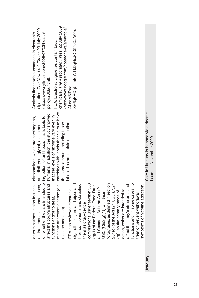|                                               | Sale in Uruguay is banned via a decree<br>issued in November 2009 |                                                                                                                                                                                                                                              | Venbnur |
|-----------------------------------------------|-------------------------------------------------------------------|----------------------------------------------------------------------------------------------------------------------------------------------------------------------------------------------------------------------------------------------|---------|
|                                               |                                                                   | symptoms of nicotine addiction<br>treat or prevent withdrawal                                                                                                                                                                                |         |
|                                               |                                                                   | functions and, in some cases, to<br>affect the body's structures and                                                                                                                                                                         |         |
|                                               |                                                                   |                                                                                                                                                                                                                                              |         |
|                                               |                                                                   |                                                                                                                                                                                                                                              |         |
|                                               |                                                                   | (g)(1) of the Federal Food, Drug,<br>and Cosmetic Act (the Act) (21<br>USC § 353(g)(1)) with their<br>'drug' uses, as defined in section<br>201(g) of the Act (21 USC § 321<br>(g)), as the primary mode of<br>action, which are intended to |         |
|                                               |                                                                   |                                                                                                                                                                                                                                              |         |
|                                               |                                                                   |                                                                                                                                                                                                                                              |         |
|                                               |                                                                   |                                                                                                                                                                                                                                              |         |
|                                               |                                                                   |                                                                                                                                                                                                                                              |         |
|                                               |                                                                   | combinations under section 503                                                                                                                                                                                                               |         |
|                                               |                                                                   | them as drug-device                                                                                                                                                                                                                          |         |
|                                               |                                                                   |                                                                                                                                                                                                                                              |         |
| Xw6qPRQqUJmEnNTkDqGoJQD99JOJA00).             |                                                                   | cigarettes, cigars and pipes and<br>their components and classified                                                                                                                                                                          |         |
| ALeqM5iFxte-                                  | labelled as not containing nicotine.                              | FDA has reviewed electronic                                                                                                                                                                                                                  |         |
| (http://www.google.com/hostednews/ap/article/ | the same amount, including those                                  | nicotine addiction).                                                                                                                                                                                                                         |         |
| chemicals. The Associated Press, 22 July 2009 | orevent disease (e.g. cartridges with labels that claim to have   | mitigate or p                                                                                                                                                                                                                                |         |
| FDA: Electronic cigarettes contain toxic      | that the levels of nicotine vary even in                          | nd/or to treat,<br>functions ar                                                                                                                                                                                                              |         |
| policy/23fda.html).                           | humans. In addition, the study showed                             | affect the body's structures and                                                                                                                                                                                                             |         |
| (http://www.nytimes.com/2009/07/23/health/    | ingredient of antifreeze that is toxic to                         | they are intended to<br>on whether                                                                                                                                                                                                           |         |
| cigarettes. The New York Times, 23 July 2009  | and diethlyene glycol, a common                                   | on the product's intended uses,                                                                                                                                                                                                              |         |
| Analysis finds toxic substances in electronic | nitrosamines, which are carcinogens,                              | determinations. It also focuses                                                                                                                                                                                                              |         |

Urugua)<br>I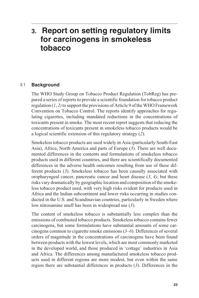# <span id="page-29-0"></span>**3. Report on setting regulatory limits for carcinogens in smokeless tobacco**

#### 3.1 **Background**

The WHO Study Group on Tobacco Product Regulation (TobReg) has prepared a series of reports to provide a scientific foundation for tobacco product regulation (*1*, *2)* to support the provisions of Article 9 of the WHO Framework Convention on Tobacco Control. The reports identify approaches for regulating cigarettes, including mandated reductions in the concentrations of toxicants present in smoke. The most recent report suggests that reducing the concentrations of toxicants present in smokeless tobacco products would be a logical scientific extension of this regulatory strategy (*2*).

Smokeless tobacco products are used widely in Asia (particularly South-East Asia), Africa, North America and parts of Europe (*3*). There are well documented differences in the contents and formulations of smokeless tobacco products used in different countries, and there are scientifically documented differences in the adverse health outcomes resulting from use of these different products (*3*). Smokeless tobacco has been causally associated with oropharyngeal cancer, pancreatic cancer and heart disease (*3*, *4)*; but these risks vary dramatically by geographic location and composition of the smokeless tobacco product used, with very high risks evident for products used in Africa and the Indian subcontinent and lower risks occurring in studies conducted in the U.S. and Scandinavian countries, particularly in Sweden where low nitrosamine snuff has been in widespread use (*3*).

The content of smokeless tobacco is substantially less complex than the emissions of combusted tobacco products. Smokeless tobacco contains fewer carcinogens, but some formulations have substantial amounts of some carcinogens common to cigarette smoke emissions (*3–6*). Differences of several orders of magnitude in the concentrations of carcinogens have been found between products with the lowest levels, which are most commonly marketed in the developed world, and those produced in 'cottage' industries in Asia and Africa. The differences among manufactured smokeless tobacco products used in different regions are more modest, but even within the same region there are substantial differences in products (*3*). Differences in the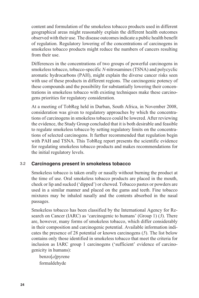<span id="page-30-0"></span>content and formulation of the smokeless tobacco products used in different geographical areas might reasonably explain the different health outcomes observed with their use. The disease outcomes indicate a public health benefit of regulation. Regulatory lowering of the concentrations of carcinogens in smokeless tobacco products might reduce the numbers of cancers resulting from their use.

Differences in the concentrations of two groups of powerful carcinogens in smokeless tobacco, tobacco-specific *N*-nitrosamines (TSNA) and polycyclic aromatic hydrocarbons (PAH), might explain the diverse cancer risks seen with use of these products in different regions. The carcinogenic potency of these compounds and the possibility for substantially lowering their concentrations in smokeless tobacco with existing techniques make these carcinogens priorities for regulatory consideration.

At a meeting of TobReg held in Durban, South Africa, in November 2008, consideration was given to regulatory approaches by which the concentrations of carcinogens in smokeless tobacco could be lowered. After reviewing the evidence, the Study Group concluded that it is both desirable and feasible to regulate smokeless tobacco by setting regulatory limits on the concentrations of selected carcinogens. It further recommended that regulation begin with PAH and TSNA. This TobReg report presents the scientific evidence for regulating smokeless tobacco products and makes recommendations for the initial regulatory levels.

### 3.2 **Carcinogens present in smokeless tobacco**

Smokeless tobacco is taken orally or nasally without burning the product at the time of use. Oral smokeless tobacco products are placed in the mouth, cheek or lip and sucked ('dipped') or chewed. Tobacco pastes or powders are used in a similar manner and placed on the gums and teeth. Fine tobacco mixtures may be inhaled nasally and the contents absorbed in the nasal passages.

Smokeless tobacco has been classified by the International Agency for Research on Cancer (IARC) as 'carcinogenic to humans' (Group 1) (*3*). There are, however, many forms of smokeless tobacco, which differ considerably in their composition and carcinogenic potential. Available information indicates the presence of 28 potential or known carcinogens (*5*). The list below contains only those identified in smokeless tobacco that meet the criteria for inclusion as IARC group 1 carcinogens ('sufficient' evidence of carcinogenicity in humans):

benzo[*a*]pyrene formaldehyde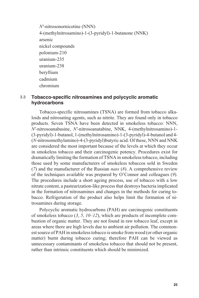```
Nƍ-nitrosonornicotine (NNN)
4-(methylnitrosamino)-1-(3-pyridyl)-1-butanone (NNK)
arsenic
nickel compounds
polonium-210
uranium-235
uranium-238
beryllium
cadmium
chromium
```
#### 3.3 **Tobacco-specific nitrosamines and polycyclic aromatic hydrocarbons**

Tobacco-specific nitrosamines (TSNA) are formed from tobacco alkaloids and nitrosating agents, such as nitrite. They are found only in tobacco products. Seven TSNA have been detected in smokeless tobacco: NNN, *Nƍ-*nitrosoanabasine, *Nƍ*-nitrosoanatabine, NNK, 4-(methylnitrosamino)-1- (3-pyridyl)-1-butanol, 1-(methylnitrosamino)-1-(3-pyridyl)-4-butanol and 4- (*N*-nitrosomethylamino)-4-(3-pyridyl)butyric acid. Of these, NNN and NNK are considered the most important because of the levels at which they occur in smokeless tobacco and their carcinogenic potency. Procedures exist for dramatically limiting the formation of TSNA in smokeless tobacco, including those used by some manufacturers of smokeless tobaccos sold in Sweden (*7*) and the manufacturer of the Russian *nass* (*8*). A comprehensive review of the techniques available was prepared by O'Connor and colleagues (*9*). The procedures include a short ageing process, use of tobacco with a low nitrate content, a pasteurization-like process that destroys bacteria implicated in the formation of nitrosamines and changes in the methods for curing tobacco. Refrigeration of the product also helps limit the formation of nitrosamines during storage.

Polycyclic aromatic hydrocarbons (PAH) are carcinogenic constituents of smokeless tobacco (*3*, *5*, *10*–*12*), which are products of incomplete combustion of organic matter. They are not found in raw tobacco leaf, except in areas where there are high levels due to ambient air pollution. The commonest source of PAH in smokeless tobacco is smoke from wood (or other organic matter) burnt during tobacco curing; therefore PAH can be viewed as unnecessary contaminants of smokeless tobacco that should not be present, rather than intrinsic constituents which should be minimized.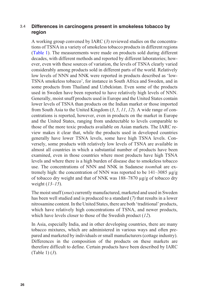## <span id="page-32-0"></span>3.4 **Differences in carcinogens present in smokeless tobacco by region**

A working group convened by IARC (*3*) reviewed studies on the concentrations of TSNA in a variety of smokeless tobacco products in different regions [\(Table 1](#page-33-0)). The measurements were made on products sold during different decades, with different methods and reported by different laboratories; however, even with these sources of variation, the levels of TSNA clearly varied considerably among products sold in different parts of the world. Relatively low levels of NNN and NNK were reported in products described as 'low-TSNA smokeless tobacco', for instance in South Africa and Sweden, and in some products from Thailand and Uzbekistan. Even some of the products used in Sweden have been reported to have relatively high levels of NNN. Generally, moist snuff products used in Europe and the United States contain lower levels of TSNA than products on the Indian market or those imported from South Asia to the United Kingdom (*3*, *5*, *11*, *12*). A wide range of concentrations is reported, however, even in products on the market in Europe and the United States, ranging from undetectable to levels comparable to those of the more toxic products available on Asian markets. The IARC review makes it clear that, while the products used in developed countries generally have lower TSNA levels, some have high TSNA levels. Conversely, some products with relatively low levels of TSNA are available in almost all countries in which a substantial number of products have been examined, even in those countries where most products have high TSNA levels and where there is a high burden of disease due to smokeless tobacco use. The concentrations of NNN and NNK in Sudanese *toombak* are extremely high: the concentration of NNN was reported to be 141–3085 μg/g of tobacco dry weight and that of NNK was 188–7870 μg/g of tobacco dry weight (*13–15*).

The moist snuff (*snus*) currently manufactured, marketed and used in Sweden has been well studied and is produced to a standard (*7*) that results in a lower nitrosamine content. In the United States, there are both 'traditional' products, which have relatively high concentrations of TSNA, and newer products, which have levels closer to those of the Swedish product (*12*).

In Asia, especially India, and in other developing countries, there are many tobacco mixtures, which are administered in various ways and often prepared and marketed by individuals or small manufacturers (cottage industry). Differences in the composition of the products on these markets are therefore difficult to define. Certain products have been described by IARC (Table 1) (*3*).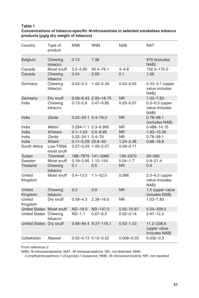#### <span id="page-33-0"></span>**Table 1**

**Concentrations of tobacco-specific** *N***-nitrosamines in selected smokeless tobacco products (μg/g dry weight of tobacco)**

| Country              | Type of<br>product      | <b>NNK</b>                  | <b>NNN</b>                  | <b>NAB</b>     | <b>NAT</b>                                   |
|----------------------|-------------------------|-----------------------------|-----------------------------|----------------|----------------------------------------------|
| Belgium              | Chewing<br>tobacco      | 0.13                        | 7.38                        |                | 970 (includes<br>NAB)                        |
| Canada               | Moist snuff             | $3.2 - 5.80$                | $50.4 - 79.1$               | $4 - 4.8$      | 152.0-170.0                                  |
| Canada               | Chewing<br>tobacco      | 0.24                        | 2.09                        | 0.1            | 1.58                                         |
| Germany              | Chewing<br>tobacco      | $0.03 - 0.3$                | $1.42 - 2.30$               | $0.03 - 0.05$  | 0.33-3.7 (upper<br>value includes<br>NAB)    |
| Germany              | Dry snuff               |                             | 0.58-6.43 2.93-18.75        | N <sub>R</sub> | $1.03 - 7.83$                                |
| India                | Chewing<br>tobacco      | $0.13 - 0.6$                | $0.47 - 0.85$               | $0.03 - 0.07$  | $0.3 - 0.5$ (upper<br>value includes<br>NAB) |
| India                | Zarda                   | $0.22 - 24.1$ $0.4 - 79.0$  |                             | N <sub>R</sub> | $0.78 - 99.1$<br>(includes NAB)              |
| India                | Mishri                  |                             | $0.294 - 1.1$ $0.3 - 6.995$ | NR.            | 0.488-14.15                                  |
| India                | Khiwam                  | $0.1 - 1.03$                | $2.5 - 8.95$                | N <sub>R</sub> | 1.83-10.36                                   |
| India                | Zarda                   | $0.22 - 24.1$ $0.4 - 79$    |                             | NR.            | $0.78 - 99.1$                                |
| India                | Khaini                  | $0.11 - 5.29$ 25.8-40       |                             | $1.24 - 2.48$  | $0.66 - 18.8$                                |
| South Africa         | Low-TSNA<br>moist snuff |                             | 0.27-0.29 1.05-2.07         | $0.09 - 0.11$  |                                              |
| Sudan                | Toombak                 | 188-7870                    | 141-3080                    | 139-2370       | $20 - 290$                                   |
| Sweden               | Moist snuff             | $0.19 - 2.95$               | $1.12 - 154$                | $0.04 - 1.7$   | $0.9 - 21.4$                                 |
| Thailand             | Chewing<br>tobacco      | 0.1                         | 0.5                         | NR.            | 0.5                                          |
| United<br>Kingdom    | Moist snuff             | $0.4 - 13.0$                | $1.1 - 52.0$                | 0.086          | 2.0-6.5 (upper<br>value includes<br>NAB)     |
| United<br>Kingdom    | Chewing<br>tobacco      | 0.3                         | 0.9                         | N <sub>R</sub> | 1.5 (upper value<br>includes NAB)            |
| United<br>Kingdom    | Dry snuff               | $0.58 - 4.3$                | $2.39 - 16.0$               | NR.            | $1.03 - 7.83$                                |
| <b>United States</b> | Moist snuff             | ND-18.0                     | ND-147.0                    | $0.02 - 10.67$ | 0.24-339.0                                   |
| <b>United States</b> | Chewing<br>tobacco      | ND-1.1                      | $0.67 - 6.5$                | $0.02 - 0.14$  | $0.67 - 12,4$                                |
| <b>United States</b> | Dry snuff               |                             | 0.88-84.4 9.37-116.1        | $0.52 - 1.53$  | 11.2-238.8<br>(upper value<br>includes NAB)  |
| Uzbekistan           | Naswar                  | $0.02 - 0.13$ $0.12 - 0.52$ |                             | $0.008 - 0.03$ | $0.032 - 0.3$                                |

From reference *2*

NAB, *N*'-nitrosoanabasine; NAT, *N*'-nitrosoanatabine; ND, not detected; NNK,

4-(methylnitrosamino)-1-(3-pyridyl)-1-butanone; NNN, N-nitrosonornicotine; NR, not reported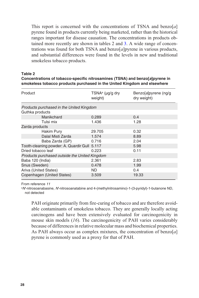<span id="page-34-0"></span>This report is concerned with the concentrations of TSNA and benzo[*a*] pyrene found in products currently being marketed, rather than the historical ranges important for disease causation. The concentrations in products obtained more recently are shown in tables 2 and [3.](#page-35-0) A wide range of concentrations was found for both TSNA and benzo[*a*]pyrene in various products, and substantial differences were found in the levels in new and traditional smokeless tobacco products.

#### **Table 2**

#### **Concentrations of tobacco-specific nitrosamines (TSNA) and benzo[***a***]pyrene in smokeless tobacco products purchased in the United Kingdom and elsewhere**

| Product                                       | $TSNA^a$ (µg/g dry<br>weight) | Benzo[a]pyrene (ng/g<br>dry weight) |
|-----------------------------------------------|-------------------------------|-------------------------------------|
| Products purchased in the United Kingdom      |                               |                                     |
| Guthka products                               |                               |                                     |
| Manikchard                                    | 0.289                         | 0.4                                 |
| Tulsi mix                                     | 1.436                         | 1.28                                |
| Zarda products                                |                               |                                     |
| Hakim Pury                                    | 29.705                        | 0.32                                |
| Dalal Misti Zarda                             | 1.574                         | 8.89                                |
| Baba Zarda (GP)                               | 0.716                         | 2.04                                |
| Tooth-cleaning powder: A. Quardir Gull 5.117  |                               | 5.98                                |
| Dried tobacco leaf                            | 0.223                         | 0.11                                |
| Products purchased outside the United Kingdom |                               |                                     |
| Baba 120 (India)                              | 2.361                         | 2.83                                |
| Snus (Sweden)                                 | 0.478                         | 1.99                                |
| Ariva (United States)                         | ND.                           | 0.4                                 |
| Copenhagen (United States)                    | 3.509                         | 19.33                               |

From reference *11*

a<sub>*N*</sub>-nitrosoanabasine, *N*<sup>-</sup>nitrosoanatabine and 4-(methylnitrosamino)-1-(3-pyridyl)-1-butanone ND, not detected

PAH originate primarily from fire-curing of tobacco and are therefore avoidable contaminants of smokeless tobacco. They are generally locally acting carcinogens and have been extensively evaluated for carcinogenicity in mouse skin models (*16*). The carcinogenicity of PAH varies considerably because of differences in relative molecular mass and biochemical properties. As PAH always occur as complex mixtures, the concentration of benzo[*a*] pyrene is commonly used as a proxy for that of PAH.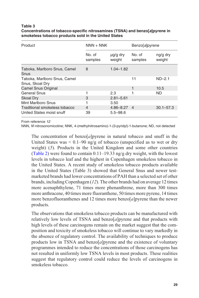#### <span id="page-35-0"></span>**Table 3 Concentrations of tobacco-specific nitrosamines (TSNA) and benzo[***a***]pyrene in smokeless tobacco products sold in the United States**

| Product                                         | $NNN + NNK$       |                    | Benzo[a]pyrene    |                    |
|-------------------------------------------------|-------------------|--------------------|-------------------|--------------------|
|                                                 | No. of<br>samples | ug/g dry<br>weight | No. of<br>samples | ng/g dry<br>weight |
| Taboka, Marlboro Snus, Camel<br>Snus            | 8                 | $1.04 - 1.82$      |                   |                    |
| Taboka, Marlboro Snus, Camel<br>Snus, Skoal Dry |                   |                    | 11                | $ND-2.1$           |
| <b>Camel Snus Original</b>                      |                   |                    | 1                 | 10.5               |
| <b>General Snus</b>                             |                   | 2.3                |                   | ND.                |
| Skoal Dry                                       | 3                 | $2.81 - 5.61$      |                   |                    |
| Mint Marlboro Snus                              |                   | 3.50               |                   |                    |
| Traditional smokeless tobacco                   | 4                 | $4.86 - 8.27$      | $\overline{4}$    | $30.1 - 57.3$      |
| United States moist snuff                       | 39                | $5.5 - 98.6$       |                   |                    |

From reference *12*

NNN, *N*ƍ-nitrosonornicotine; NNK, 4-(methylnitrosamino)-1-(3-pyridyl)-1-butanone; ND, not detected

The concentration of benzo[*a*]pyrene in natural tobacco and snuff in the United States was  $\leq 0.1-90$  ng/g of tobacco (unspecified as to wet or dry weight) (*5*). Products in the United Kingdom and some other countries [\(Table 2\)](#page-34-0) were found to contain  $0.11-19.33$  ng/g dry weight, with the lowest levels in tobacco leaf and the highest in Copenhagen smokeless tobacco in the United States. A recent study of smokeless tobacco products available in the United States (Table 3) showed that General Snus and newer testmarketed brands had lower concentrations of PAH than a selected set of other brands, including Copenhagen (*12*). The other brands had on average 12 times more acenaphthylene, 71 times more phenanthrene, more than 300 times more anthracene, 40 times more fluoranthene, 50 times more pyrene, 14 times more benzofluoranthenes and 12 times more benzo $[a]$  pyrene than the newer products.

The observations that smokeless tobacco products can be manufactured with relatively low levels of TSNA and benzo[*a*]pyrene and that products with high levels of these carcinogens remain on the market suggest that the composition and toxicity of smokeless tobacco will continue to vary markedly in the absence of regulatory control. The availability of techniques to produce products low in TSNA and benzo[*a*]pyrene and the existence of voluntary programmes intended to reduce the concentrations of those carcinogens has not resulted in uniformly low TSNA levels in most products. These realities suggest that regulatory control could reduce the levels of carcinogens in smokeless tobacco.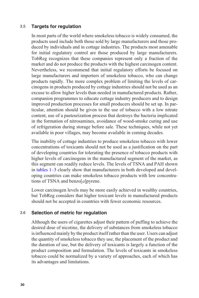#### <span id="page-36-0"></span>3.5 **Targets for regulation**

In most parts of the world where smokeless tobacco is widely consumed, the products used include both those sold by large manufacturers and those produced by individuals and in cottage industries. The products most amenable for initial regulatory control are those produced by large manufacturers. TobReg recognizes that these companies represent only a fraction of the market and do not produce the products with the highest carcinogen content. Nevertheless, we recommend that initial regulatory efforts be focused on large manufacturers and importers of smokeless tobacco, who can change products rapidly. The more complex problem of limiting the levels of carcinogens in products produced by cottage industries should not be used as an excuse to allow higher levels than needed in manufactured products. Rather, companion programmes to educate cottage industry producers and to design improved production processes for small producers should be set up. In particular, attention should be given to the use of tobacco with a low nitrate content, use of a pasteurization process that destroys the bacteria implicated in the formation of nitrosamines, avoidance of wood-smoke curing and use of refrigeration during storage before sale. These techniques, while not yet available in poor villages, may become available in coming decades.

The inability of cottage industries to produce smokeless tobacco with lower concentrations of toxicants should not be used as a justification on the part of developing countries for tolerating the presence of tobacco products with higher levels of carcinogens in the manufactured segment of the market, as this segment can readily reduce levels. The levels of TSNA and PAH shown in [tables 1](#page-33-0)[–3](#page-35-0) clearly show that manufacturers in both developed and developing countries can make smokeless tobacco products with low concentrations of TSNA and benzo[*a*]pyrene.

Lower carcinogen levels may be more easily achieved in wealthy countries, but TobReg considers that higher toxicant levels in manufactured products should not be accepted in countries with fewer economic resources.

#### 3.6 **Selection of metric for regulation**

Although the users of cigarettes adjust their pattern of puffing to achieve the desired dose of nicotine, the delivery of substances from smokeless tobacco is influenced mainly by the product itself rather than the user. Users can adjust the quantity of smokeless tobacco they use, the placement of the product and the duration of use, but the delivery of toxicants is largely a function of the product composition and formulation. The levels of toxicants in smokeless tobacco could be normalized by a variety of approaches, each of which has its advantages and limitations.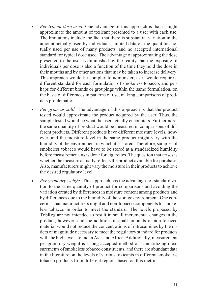- *Per typical dose used:* One advantage of this approach is that it might approximate the amount of toxicant presented to a user with each use. The limitations include the fact that there is substantial variation in the amount actually used by individuals, limited data on the quantities actually used per use of many products, and no accepted international standard for typical dose used. The advantage of approximating the dose presented to the user is diminished by the reality that the exposure of individuals per dose is also a function of the time they hold the dose in their mouths and by other actions that may be taken to increase delivery. This approach would be complex to administer, as it would require a different standard for each formulation of smokeless tobacco, and perhaps for different brands or groupings within the same formulation, on the basis of differences in patterns of use, making comparisons of products problematic.
- *Per gram as sold:* The advantage of this approach is that the product tested would approximate the product acquired by the user. Thus, the sample tested would be what the user actually encounters. Furthermore, the same quantity of product would be measured in comparisons of different products. Different products have different moisture levels, however, and the moisture level in the same product might vary with the humidity of the environment in which it is stored. Therefore, samples of smokeless tobacco would have to be stored at a standardized humidity before measurement, as is done for cigarettes. The question that arises is whether the measure actually reflects the product available for purchase. Also, manufacturers might vary the moisture in their products to achieve the desired regulatory level.
- *Per gram dry weight:* This approach has the advantages of standardization to the same quantity of product for comparisons and avoiding the variation created by differences in moisture content among products and by differences due to the humidity of the storage environment. One concern is that manufacturers might add non-tobacco components to smokeless tobacco in order to meet the standard. The levels proposed by TobReg are not intended to result in small incremental changes in the product, however, and the addition of small amounts of non-tobacco material would not reduce the concentrations of nitrosamines by the orders of magnitude necessary to meet the regulatory standard for products with the high levels found in Asia and Africa. Additionally, measurement per gram dry weight is a long-accepted method of standardizing measurements of smokeless tobacco constituents, and there are abundant data in the literature on the levels of various toxicants in different smokeless tobacco products from different regions based on this metric.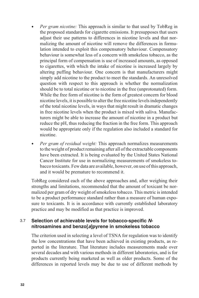- <span id="page-38-0"></span> *Per gram nicotine:* This approach is similar to that used by TobReg in the proposed standards for cigarette emissions. It presupposes that users adjust their use patterns to differences in nicotine levels and that normalizing the amount of nicotine will remove the differences in formulation intended to exploit this compensatory behaviour. Compensatory behaviour is somewhat less of a concern with smokeless tobacco, as the principal form of compensation is use of increased amounts, as opposed to cigarettes, with which the intake of nicotine is increased largely by altering puffing behaviour. One concern is that manufacturers might simply add nicotine to the product to meet the standards. An unresolved question with respect to this approach is whether the normalization should be to total nicotine or to nicotine in the free (unprotonated) form. While the free form of nicotine is the form of greatest concern for blood nicotine levels, it is possible to alter the free nicotine levels independently of the total nicotine levels, in ways that might result in dramatic changes in free nicotine levels when the product is mixed with saliva. Manufacturers might be able to increase the amount of nicotine in a product but reduce the pH, thus reducing the fraction in the free form. This approach would be appropriate only if the regulation also included a standard for nicotine.
- *Per gram of residual weight:* This approach normalizes measurements to the weight of product remaining after all of the extractable components have been extracted. It is being evaluated by the United States National Cancer Institute for use in normalizing measurements of smokeless tobacco toxicants. Few data are available, however, on use of this approach, and it would be premature to recommend it.

TobReg considered each of the above approaches and, after weighing their strengths and limitations, recommended that the amount of toxicant be normalized per gram of dry weight of smokeless tobacco. This metric is intended to be a product performance standard rather than a measure of human exposure to toxicants. It is in accordance with currently established laboratory practice and may be modified as that practice is improved.

#### 3.7 **Selection of achievable levels for tobacco-specific** *N***nitrosamines and benzo[***a***]pyrene in smokeless tobacco**

The criterion used in selecting a level of TSNA for regulation was to identify the low concentrations that have been achieved in existing products, as reported in the literature. That literature includes measurements made over several decades and with various methods in different laboratories, and is for products currently being marketed as well as older products. Some of the differences in reported levels may be due to use of different methods by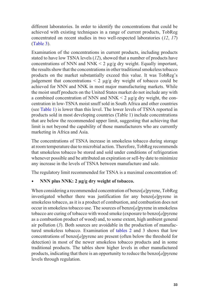different laboratories. In order to identify the concentrations that could be achieved with existing techniques in a range of current products, TobReg concentrated on recent studies in two well-respected laboratories (*12*, *17*) [\(Table 3](#page-35-0)).

Examination of the concentrations in current products, including products stated to have low TSNA levels (*12*), showed that a number of products have concentrations of NNN and NNK  $\lt 2 \mu g/g$  dry weight. Equally important, the results show that the concentrations in other traditional smokeless tobacco products on the market substantially exceed this value. It was TobReg's judgement that concentrations  $\leq 2 \mu g/g$  dry weight of tobacco could be achieved for NNN and NNK in most major manufacturing markets. While the moist snuff products on the United States market do not include any with a combined concentration of NNN and NNK  $\leq 2 \mu g/g$  dry weight, the concentration in low-TSNA moist snuff sold in South Africa and other countries (see [Table 1\)](#page-33-0) is lower than this level. The lower levels of TSNA reported in products sold in most developing countries (Table 1) include concentrations that are below the recommended upper limit, suggesting that achieving that limit is not beyond the capability of those manufacturers who are currently marketing in Africa and Asia.

The concentrations of TSNA increase in smokeless tobacco during storage at room temperature due to microbial action. Therefore, TobReg recommends that smokeless tobacco be stored and sold under conditions of refrigeration whenever possible and be attributed an expiration or sell-by date to minimize any increase in the levels of TSNA between manufacture and sale.

The regulatory limit recommended for TSNA is a maximal concentration of:

### **NNN plus NNK: 2 μg/g dry weight of tobacco.**

When considering a recommended concentration of benzo[*a*]pyrene, TobReg investigated whether there was justification for any benzo[*a*]pyrene in smokeless tobacco, as it is a product of combustion, and combustion does not occur in smokeless tobacco use. The sources of benzo[*a*]pyrene in smokeless tobacco are curing of tobacco with wood smoke (exposure to benzo[*a*]pyrene as a combustion product of wood) and, to some extent, high ambient general air pollution (*3*). Both sources are avoidable in the production of manufactured smokeless tobacco. Examination of [tables 2](#page-34-0) and 3 shows that low concentrations of benzo[*a*]pyrene are present (often below the threshold for detection) in most of the newer smokeless tobacco products and in some traditional products. The tables show higher levels in other manufactured products, indicating that there is an opportunity to reduce the benzo $[a]$  pyrene levels through regulation.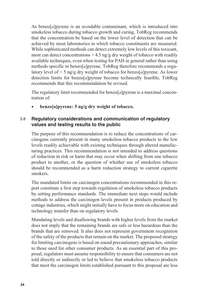<span id="page-40-0"></span>As benzo[*a*]pyrene is an avoidable contaminant, which is introduced into smokeless tobacco during tobacco growth and curing, TobReg recommends that the concentration be based on the lower level of detection that can be achieved by most laboratories in which tobacco constituents are measured. While sophisticated methods can detect extremely low levels of this toxicant, most can detect concentrations  $> 4.5$  ng/g dry weight of tobacco with readily available techniques, even when testing for PAH in general rather than using methods specific to benzo[*a*]pyrene. TobReg therefore recommends a regulatory level of < 5 ng/g dry weight of tobacco for benzo[*a*]pyrene. As lower detection limits for benzo[*a*]pyrene become technically feasible, TobReg recommends that this recommendation be revised.

The regulatory limit recommended for benzo[*a*]pyrene is a maximal concentration of:

**benzo[a]pyrene: 5 ng/g dry weight of tobacco.**

### 3.8 **Regulatory considerations and communication of regulatory values and testing results to the public**

The purpose of this recommendation is to reduce the concentrations of carcinogens currently present in many smokeless tobacco products to the low levels readily achievable with existing techniques through altered manufacturing practices. This recommendation is not intended to address questions of reduction in risk or harm that may occur when shifting from one tobacco product to another, or the question of whether use of smokeless tobacco should be recommended as a harm reduction strategy to current cigarette smokers.

The mandated limits on carcinogen concentrations recommended in this report constitute a first step towards regulation of smokeless tobacco products by setting performance standards. The immediate next steps would include methods to address the carcinogen levels present in products produced by cottage industries, which might initially have to focus more on education and technology transfer than on regulatory levels.

Mandating levels and disallowing brands with higher levels from the market does not imply that the remaining brands are safe or less hazardous than the brands that are removed. It also does not represent government recognition of the safety of the products that remain on the market. The proposed strategy for limiting carcinogens is based on sound precautionary approaches, similar to those used for other consumer products. As an essential part of this proposal, regulators must assume responsibility to ensure that consumers are not told directly or indirectly or led to believe that smokeless tobacco products that meet the carcinogen limits established pursuant to this proposal are less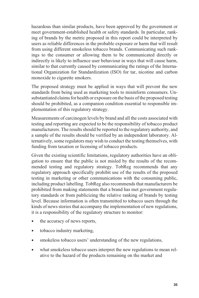hazardous than similar products, have been approved by the government or meet government-established health or safety standards. In particular, ranking of brands by the metric proposed in this report could be interpreted by users as reliable differences in the probable exposure or harm that will result from using different smokeless tobacco brands. Communicating such rankings to the consumer or allowing them to be communicated directly or indirectly is likely to influence user behaviour in ways that will cause harm, similar to that currently caused by communicating the ratings of the International Organization for Standardization (ISO) for tar, nicotine and carbon monoxide to cigarette smokers.

The proposed strategy must be applied in ways that will prevent the new standards from being used as marketing tools to misinform consumers. Unsubstantiated claims for health or exposure on the basis of the proposed testing should be prohibited, as a companion condition essential to responsible implementation of this regulatory strategy.

Measurements of carcinogen levels by brand and all the costs associated with testing and reporting are expected to be the responsibility of tobacco product manufacturers. The results should be reported to the regulatory authority, and a sample of the results should be verified by an independent laboratory. Alternatively, some regulators may wish to conduct the testing themselves, with funding from taxation or licensing of tobacco products.

Given the existing scientific limitations, regulatory authorities have an obligation to ensure that the public is not misled by the results of the recommended testing and regulatory strategy. TobReg recommends that any regulatory approach specifically prohibit use of the results of the proposed testing in marketing or other communications with the consuming public, including product labelling. TobReg also recommends that manufacturers be prohibited from making statements that a brand has met government regulatory standards or from publicizing the relative ranking of brands by testing level. Because information is often transmitted to tobacco users through the kinds of news stories that accompany the implementation of new regulations, it is a responsibility of the regulatory structure to monitor:

- the accuracy of news reports,
- tobacco industry marketing,
- smokeless tobacco users' understanding of the new regulations,
- what smokeless tobacco users interpret the new regulations to mean relative to the hazard of the products remaining on the market and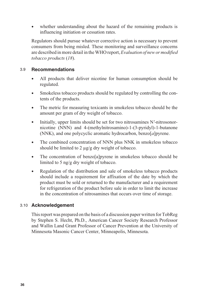<span id="page-42-0"></span> whether understanding about the hazard of the remaining products is influencing initiation or cessation rates.

Regulators should pursue whatever corrective action is necessary to prevent consumers from being misled. These monitoring and surveillance concerns are described in more detail in the WHO report, *Evaluation of new or modified tobacco products* (*18*).

### 3.9 **Recommendations**

- All products that deliver nicotine for human consumption should be regulated.
- Smokeless tobacco products should be regulated by controlling the contents of the products.
- The metric for measuring toxicants in smokeless tobacco should be the amount per gram of dry weight of tobacco.
- Initially, upper limits should be set for two nitrosamines N<sup>'</sup>-nitrosonornicotine (NNN) and 4-(methylnitrosamino)-1-(3-pyridyl)-1-butanone (NNK), and one polycyclic aromatic hydrocarbon, benzo[*a*]pyrene.
- The combined concentration of NNN plus NNK in smokeless tobacco should be limited to 2 μg/g dry weight of tobacco.
- The concentration of benzo[a]pyrene in smokeless tobacco should be limited to 5 ng/g dry weight of tobacco.
- Regulation of the distribution and sale of smokeless tobacco products should include a requirement for affixation of the date by which the product must be sold or returned to the manufacturer and a requirement for refrigeration of the product before sale in order to limit the increase in the concentration of nitrosamines that occurs over time of storage.

#### 3.10 **Acknowledgement**

This report was prepared on the basis of a discussion paper written for TobReg by Stephen S. Hecht, Ph.D., American Cancer Society Research Professor and Wallin Land Grant Professor of Cancer Prevention at the University of Minnesota Masonic Cancer Center, Minneapolis, Minnesota.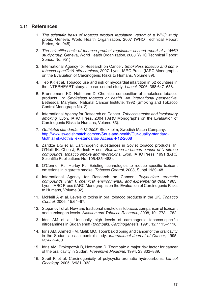#### <span id="page-43-0"></span>3.11 **References**

- 1. *The scientific basis of tobacco product regulation: report of a WHO study group*. Geneva, World Health Organization, 2007 (WHO Technical Report Series, No. 945).
- 2. *The scientific basis of tobacco product regulation: second report of a WHO study group*. Geneva, World Health Organization, 2008 (WHO Technical Report Series, No. 951).
- 3. International Agency for Research on Cancer. *Smokeless tobacco and some tobacco-specific* N*-nitrosamines*, 2007. Lyon, IARC Press (IARC Monographs on the Evaluation of Carcinogenic Risks to Humans, Volume 89).
- 4. Teo KK et al. Tobacco use and risk of myocardial infarction in 52 countries in the INTERHEART study: a case–control study. *Lancet*, 2006, 368:647–658.
- 5. Brunnemann KD, Hoffmann D. Chemical composition of smokeless tobacco products. In: *Smokeless tobacco or health. An international perspective*. Bethesda, Maryland, National Cancer Institute, 1992 (Smoking and Tobacco Control Monograph No. 2).
- 6. International Agency for Research on Cancer. *Tobacco smoke and involuntary smoking*. Lyon, IARC Press, 2004 (IARC Monographs on the Evaluation of Carcinogenic Risks to Humans, Volume 83).
- 7. *Gothiatek standards. 4-12-2008*. Stockholm, Swedish Match Company. [http://www.swedishmatch.com/en/Snus-and-health/Our-quality-standard-](http://www.swedishmatch.com)[GothiaTek/GothiaTek-standards/ Access 4-12-2008](http://www.swedishmatch.com)
- 8. Zaridze DG et al. Carcinogenic substances in Soviet tobacco products. In: O'Neill IK, Chen J, Bartsch H eds. *Relevance to human cancer of* N*-nitroso compounds, tobacco smoke and mycotoxins*, Lyon, IARC Press, 1991 (IARC Scientific Publications No. 105:485–488).
- 9. O'Connor RJ, Hurley PJ. Existing technologies to reduce specific toxicant emissions in cigarette smoke. *Tobacco Control*, 2008, Suppl 1:i39–48.
- 10. International Agency for Research on Cancer. *Polynuclear aromatic compounds. Part 1, chemical, environmental, and experimental data*, 1983. Lyon, IARC Press (IARC Monographs on the Evaluation of Carcinogenic Risks to Humans, Volume 32).
- 11. McNeill A et al. Levels of toxins in oral tobacco products in the UK. *Tobacco Control*, 2006, 15:64–67.
- 12. Stepanov I et al. New and traditional smokeless tobacco: comparison of toxicant and carcinogen levels. *Nicotine and Tobacco Research*, 2008, 10:1773–1782.
- 13. Idris AM et al. Unusually high levels of carcinogenic tobacco-specific nitrosamines in Sudan snuff (*toombak*). *Carcinogenesis*, 1991, 12:1115–1118.
- 14. Idris AM, Ahmed HM, Malik MO. Toombak dipping and cancer of the oral cavity in the Sudan: a case–control study. *International Journal of Cancer*, 1995, 63:477–480.
- 15. Idris AM, Prokopczyk B, Hoffmann D. Toombak: a major risk factor for cancer of the oral cavity in Sudan. *Preventive Medicine*, 1994, 23:832–839.
- 16. Straif K et al. Carcinogenicity of polycyclic aromatic hydrocarbons. *Lancet Oncology*, 2005, 6:931–932.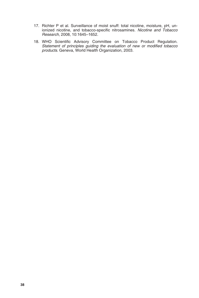- 17. Richter P et al. Surveillance of moist snuff: total nicotine, moisture, pH, unionized nicotine, and tobacco-specific nitrosamines. *Nicotine and Tobacco Research*, 2008, 10:1645–1652.
- 18. WHO Scientific Advisory Committee on Tobacco Product Regulation. *Statement of principles guiding the evaluation of new or modified tobacco products*. Geneva, World Health Organization, 2003.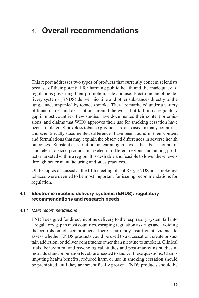# <span id="page-45-0"></span>4. **Overall recommendations**

This report addresses two types of products that currently concern scientists because of their potential for harming public health and the inadequacy of regulations governing their promotion, sale and use. Electronic nicotine delivery systems (ENDS) deliver nicotine and other substances directly to the lung, unaccompanied by tobacco smoke. They are marketed under a variety of brand names and descriptions around the world but fall into a regulatory gap in most countries. Few studies have documented their content or emissions, and claims that WHO approves their use for smoking cessation have been circulated. Smokeless tobacco products are also used in many countries, and scientifically documented differences have been found in their content and formulations that may explain the observed differences in adverse health outcomes. Substantial variation in carcinogen levels has been found in smokeless tobacco products marketed in different regions and among products marketed within a region. It is desirable and feasible to lower these levels through better manufacturing and sales practices.

Of the topics discussed at the fifth meeting of TobReg, ENDS and smokeless tobacco were deemed to be most important for issuing recommendations for regulation.

#### 4.1 **Electronic nicotine delivery systems (ENDS): regulatory recommendations and research needs**

#### 4.1.1 *Main recommendations*

ENDS designed for direct nicotine delivery to the respiratory system fall into a regulatory gap in most countries, escaping regulation as drugs and avoiding the controls on tobacco products. There is currently insufficient evidence to assess whether ENDS products could be used to aid cessation, create or sustain addiction, or deliver constituents other than nicotine to smokers. Clinical trials, behavioural and psychological studies and post-marketing studies at individual and population levels are needed to answer these questions. Claims imputing health benefits, reduced harm or use in smoking cessation should be prohibited until they are scientifically proven. ENDS products should be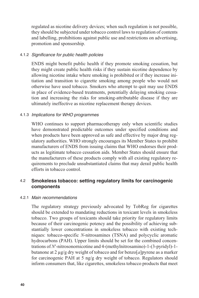<span id="page-46-0"></span>regulated as nicotine delivery devices; when such regulation is not possible, they should be subjected under tobacco control laws to regulation of contents and labelling, prohibitions against public use and restrictions on advertising, promotion and sponsorship.

#### 4.1.2 *Significance for public health policies*

ENDS might benefit public health if they promote smoking cessation, but they might create public health risks if they sustain nicotine dependence by allowing nicotine intake where smoking is prohibited or if they increase initiation and transition to cigarette smoking among people who would not otherwise have used tobacco. Smokers who attempt to quit may use ENDS in place of evidence-based treatments, potentially delaying smoking cessation and increasing the risks for smoking-attributable disease if they are ultimately ineffective as nicotine replacement therapy devices.

#### 4.1.3 *Implications for WHO programmes*

WHO continues to support pharmacotherapy only when scientific studies have demonstrated predictable outcomes under specified conditions and when products have been approved as safe and effective by major drug regulatory authorities. WHO strongly encourages its Member States to prohibit manufacturers of ENDS from issuing claims that WHO endorses their products as legitimate tobacco cessation aids. Member States should ensure that the manufacturers of these products comply with all existing regulatory requirements to preclude unsubstantiated claims that may derail public health efforts in tobacco control.

### 4.2 **Smokeless tobacco: setting regulatory limits for carcinogenic components**

#### 4.2.1 *Main recommendations*

The regulatory strategy previously advocated by TobReg for cigarettes should be extended to mandating reductions in toxicant levels in smokeless tobacco. Two groups of toxicants should take priority for regulatory limits because of their carcinogenic potency and the possibility of achieving substantially lower concentrations in smokeless tobacco with existing techniques: tobacco-specific *N*-nitrosamines (TSNA) and polycyclic aromatic hydrocarbons (PAH). Upper limits should be set for the combined concentrations of *N*<sup> $-$ </sup>-nitrosonornicotine and 4-(methylnitrosamino)-1-(3-pyridyl)-1butanone at 2 μg/g dry weight of tobacco and for benzo[*a*]pyrene as a marker for carcinogenic PAH at 5 ng/g dry weight of tobacco. Regulators should inform consumers that, like cigarettes, smokeless tobacco products that meet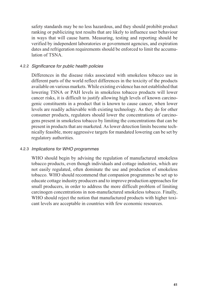safety standards may be no less hazardous, and they should prohibit product ranking or publicizing test results that are likely to influence user behaviour in ways that will cause harm. Measuring, testing and reporting should be verified by independent laboratories or government agencies, and expiration dates and refrigeration requirements should be enforced to limit the accumulation of TSNA.

#### 4.2.2 *Significance for public health policies*

Differences in the disease risks associated with smokeless tobacco use in different parts of the world reflect differences in the toxicity of the products available on various markets. While existing evidence has not established that lowering TSNA or PAH levels in smokeless tobacco products will lower cancer risks, it is difficult to justify allowing high levels of known carcinogenic constituents in a product that is known to cause cancer, when lower levels are readily achievable with existing technology. As they do for other consumer products, regulators should lower the concentrations of carcinogens present in smokeless tobacco by limiting the concentrations that can be present in products that are marketed. As lower detection limits become technically feasible, more aggressive targets for mandated lowering can be set by regulatory authorities.

#### 4.2.3 *Implications for WHO programmes*

WHO should begin by advising the regulation of manufactured smokeless tobacco products, even though individuals and cottage industries, which are not easily regulated, often dominate the use and production of smokeless tobacco. WHO should recommend that companion programmes be set up to educate cottage industry producers and to improve production approaches for small producers, in order to address the more difficult problem of limiting carcinogen concentrations in non-manufactured smokeless tobacco. Finally, WHO should reject the notion that manufactured products with higher toxicant levels are acceptable in countries with few economic resources.